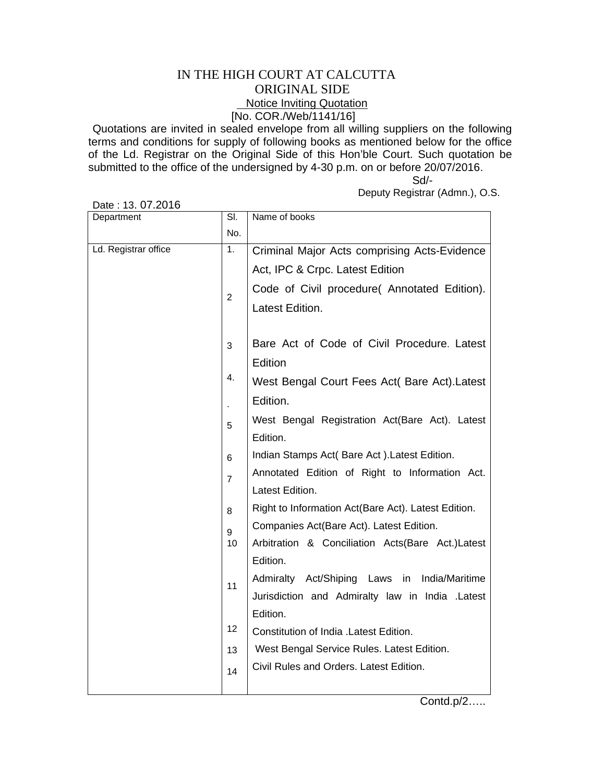## IN THE HIGH COURT AT CALCUTTA ORIGINAL SIDE **Notice Inviting Quotation** [No. COR./Web/1141/16]

Quotations are invited in sealed envelope from all willing suppliers on the following terms and conditions for supply of following books as mentioned below for the office of the Ld. Registrar on the Original Side of this Hon'ble Court. Such quotation be submitted to the office of the undersigned by 4-30 p.m. on or before 20/07/2016.

 Sd/- Deputy Registrar (Admn.), O.S.

Date : 13. 07.2016

| Department           | SI.            | Name of books                                       |
|----------------------|----------------|-----------------------------------------------------|
|                      | No.            |                                                     |
| Ld. Registrar office | 1.             | Criminal Major Acts comprising Acts-Evidence        |
|                      |                | Act, IPC & Crpc. Latest Edition                     |
|                      | $\overline{2}$ | Code of Civil procedure( Annotated Edition).        |
|                      |                | Latest Edition.                                     |
|                      | 3              | Bare Act of Code of Civil Procedure. Latest         |
|                      |                | Edition                                             |
|                      | 4.             | West Bengal Court Fees Act( Bare Act).Latest        |
|                      |                | Edition.                                            |
|                      | 5              | West Bengal Registration Act(Bare Act). Latest      |
|                      |                | Edition.                                            |
|                      | 6              | Indian Stamps Act( Bare Act). Latest Edition.       |
|                      | $\overline{7}$ | Annotated Edition of Right to Information Act.      |
|                      |                | Latest Edition.                                     |
|                      | 8              | Right to Information Act(Bare Act). Latest Edition. |
|                      | 9              | Companies Act(Bare Act). Latest Edition.            |
|                      | 10             | Arbitration & Conciliation Acts(Bare Act.)Latest    |
|                      |                | Edition.                                            |
|                      | 11             | Admiralty Act/Shiping Laws<br>in<br>India/Maritime  |
|                      |                | Jurisdiction and Admiralty law in India .Latest     |
|                      |                | Edition.                                            |
|                      | 12             | Constitution of India . Latest Edition.             |
|                      | 13             | West Bengal Service Rules. Latest Edition.          |
|                      | 14             | Civil Rules and Orders. Latest Edition.             |
|                      |                |                                                     |

Contd.p/2…..